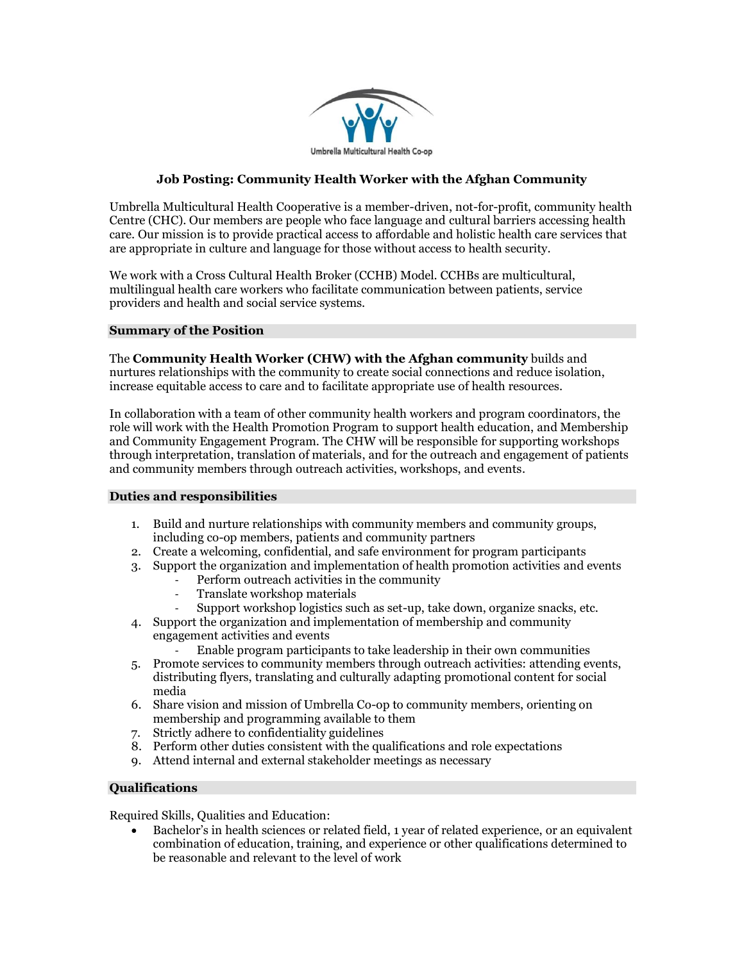

# **Job Posting: Community Health Worker with the Afghan Community**

Umbrella Multicultural Health Cooperative is a member-driven, not-for-profit, community health Centre (CHC). Our members are people who face language and cultural barriers accessing health care. Our mission is to provide practical access to affordable and holistic health care services that are appropriate in culture and language for those without access to health security.

We work with a Cross Cultural Health Broker (CCHB) Model. CCHBs are multicultural, multilingual health care workers who facilitate communication between patients, service providers and health and social service systems.

### **Summary of the Position**

The **Community Health Worker (CHW) with the Afghan community** builds and nurtures relationships with the community to create social connections and reduce isolation, increase equitable access to care and to facilitate appropriate use of health resources.

In collaboration with a team of other community health workers and program coordinators, the role will work with the Health Promotion Program to support health education, and Membership and Community Engagement Program. The CHW will be responsible for supporting workshops through interpretation, translation of materials, and for the outreach and engagement of patients and community members through outreach activities, workshops, and events.

## **Duties and responsibilities**

- 1. Build and nurture relationships with community members and community groups, including co-op members, patients and community partners
- 2. Create a welcoming, confidential, and safe environment for program participants
- 3. Support the organization and implementation of health promotion activities and events
	- Perform outreach activities in the community
	- Translate workshop materials
	- Support workshop logistics such as set-up, take down, organize snacks, etc.
- 4. Support the organization and implementation of membership and community engagement activities and events
	- Enable program participants to take leadership in their own communities
- 5. Promote services to community members through outreach activities: attending events, distributing flyers, translating and culturally adapting promotional content for social media
- 6. Share vision and mission of Umbrella Co-op to community members, orienting on membership and programming available to them
- 7. Strictly adhere to confidentiality guidelines
- 8. Perform other duties consistent with the qualifications and role expectations
- 9. Attend internal and external stakeholder meetings as necessary

# **Qualifications**

Required Skills, Qualities and Education:

• Bachelor's in health sciences or related field, 1 year of related experience, or an equivalent combination of education, training, and experience or other qualifications determined to be reasonable and relevant to the level of work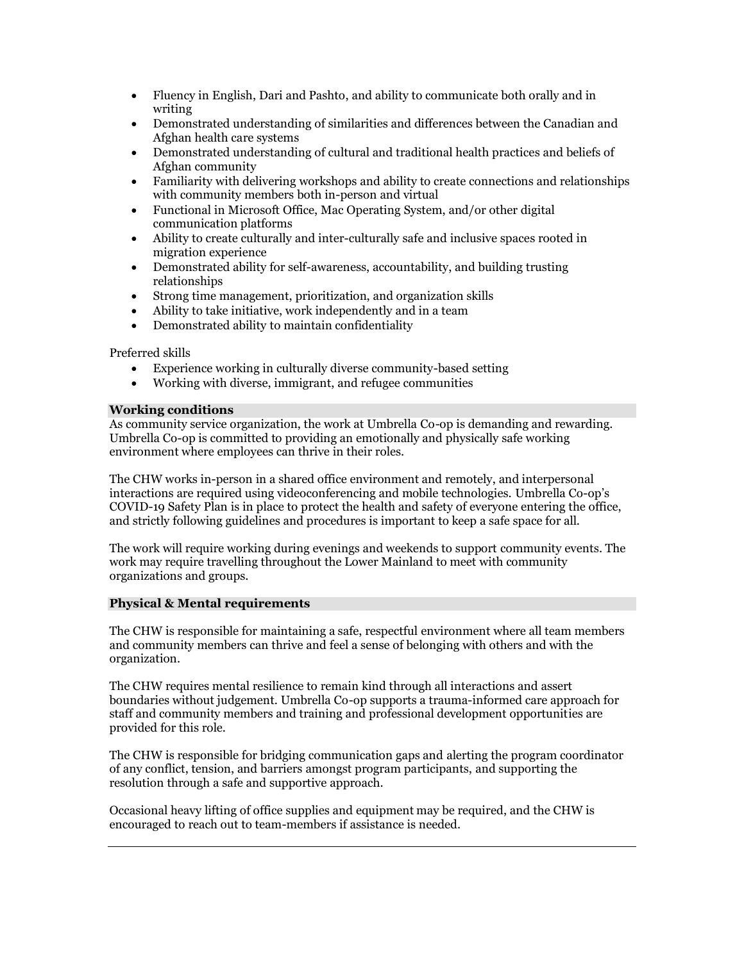- Fluency in English, Dari and Pashto, and ability to communicate both orally and in writing
- Demonstrated understanding of similarities and differences between the Canadian and Afghan health care systems
- Demonstrated understanding of cultural and traditional health practices and beliefs of Afghan community
- Familiarity with delivering workshops and ability to create connections and relationships with community members both in-person and virtual
- Functional in Microsoft Office, Mac Operating System, and/or other digital communication platforms
- Ability to create culturally and inter-culturally safe and inclusive spaces rooted in migration experience
- Demonstrated ability for self-awareness, accountability, and building trusting relationships
- Strong time management, prioritization, and organization skills
- Ability to take initiative, work independently and in a team
- Demonstrated ability to maintain confidentiality

Preferred skills

- Experience working in culturally diverse community-based setting
- Working with diverse, immigrant, and refugee communities

## **Working conditions**

As community service organization, the work at Umbrella Co-op is demanding and rewarding. Umbrella Co-op is committed to providing an emotionally and physically safe working environment where employees can thrive in their roles.

The CHW works in-person in a shared office environment and remotely, and interpersonal interactions are required using videoconferencing and mobile technologies. Umbrella Co-op's COVID-19 Safety Plan is in place to protect the health and safety of everyone entering the office, and strictly following guidelines and procedures is important to keep a safe space for all.

The work will require working during evenings and weekends to support community events. The work may require travelling throughout the Lower Mainland to meet with community organizations and groups.

## **Physical & Mental requirements**

The CHW is responsible for maintaining a safe, respectful environment where all team members and community members can thrive and feel a sense of belonging with others and with the organization.

The CHW requires mental resilience to remain kind through all interactions and assert boundaries without judgement. Umbrella Co-op supports a trauma-informed care approach for staff and community members and training and professional development opportunities are provided for this role.

The CHW is responsible for bridging communication gaps and alerting the program coordinator of any conflict, tension, and barriers amongst program participants, and supporting the resolution through a safe and supportive approach.

Occasional heavy lifting of office supplies and equipment may be required, and the CHW is encouraged to reach out to team-members if assistance is needed.